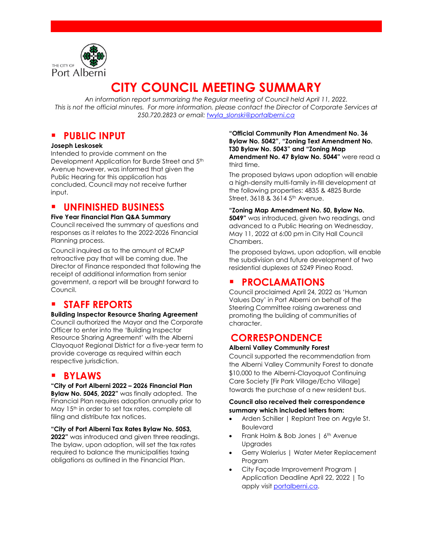

# **CITY COUNCIL MEETING SUMMARY**

*An information report summarizing the Regular meeting of Council held April 11, 2022. This is not the official minutes. For more information, please contact the Director of Corporate Services at 250.720.2823 or email: [twyla\\_slonski@portalberni.ca](mailto:twyla_slonski@portalberni.ca)*

### **PUBLIC INPUT**

#### **Joseph Leskosek**

Intended to provide comment on the Development Application for Burde Street and 5th Avenue however, was informed that given the Public Hearing for this application has concluded, Council may not receive further input.

### **UNFINISHED BUSINESS**

#### **Five Year Financial Plan Q&A Summary**

Council received the summary of questions and responses as it relates to the 2022-2026 Financial Planning process.

Council inquired as to the amount of RCMP retroactive pay that will be coming due. The Director of Finance responded that following the receipt of additional information from senior government, a report will be brought forward to Council.

## **STAFF REPORTS**

#### **Building Inspector Resource Sharing Agreement**

Council authorized the Mayor and the Corporate Officer to enter into the 'Building Inspector Resource Sharing Agreement' with the Alberni Clayoquot Regional District for a five-year term to provide coverage as required within each respective jurisdiction.

### **BYLAWS**

**"City of Port Alberni 2022 – 2026 Financial Plan Bylaw No. 5045, 2022"** was finally adopted. The Financial Plan requires adoption annually prior to May 15<sup>th</sup> in order to set tax rates, complete all filing and distribute tax notices.

**"City of Port Alberni Tax Rates Bylaw No. 5053, 2022**" was introduced and given three readings. The bylaw, upon adoption, will set the tax rates required to balance the municipalities taxing obligations as outlined in the Financial Plan.

**"Official Community Plan Amendment No. 36 Bylaw No. 5042", "Zoning Text Amendment No. T30 Bylaw No. 5043" and "Zoning Map Amendment No. 47 Bylaw No. 5044"** were read a third time.

The proposed bylaws upon adoption will enable a high-density multi-family in-fill development at the following properties: 4835 & 4825 Burde Street, 3618 & 3614 5<sup>th</sup> Avenue.

#### **"Zoning Map Amendment No. 50, Bylaw No.**

**5049"** was introduced, given two readings, and advanced to a Public Hearing on Wednesday, May 11, 2022 at 6:00 pm in City Hall Council Chambers.

The proposed bylaws, upon adoption, will enable the subdivision and future development of two residential duplexes at 5249 Pineo Road.

### **PROCLAMATIONS**

Council proclaimed April 24, 2022 as 'Human Values Day' in Port Alberni on behalf of the Steering Committee raising awareness and promoting the building of communities of character.

# **CORRESPONDENCE**

### **Alberni Valley Community Forest**

Council supported the recommendation from the Alberni Valley Community Forest to donate \$10,000 to the Alberni-Clayoquot Continuing Care Society [Fir Park Village/Echo Village] towards the purchase of a new resident bus.

#### **Council also received their correspondence summary which included letters from:**

- Arden Schiller | Replant Tree on Argyle St. Boulevard
- Frank Holm & Bob Jones | 6<sup>th</sup> Avenue Upgrades
- Gerry Walerius | Water Meter Replacement Program
- City Façade Improvement Program | Application Deadline April 22, 2022 | To apply visit portalberni.ca.